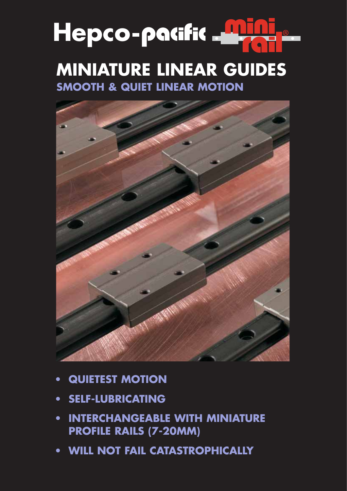# Hepco-pacific **Little MINIATURE LINEAR GUIDES**

**SMOOTH & QUIET LINEAR MOTION**



- **QUIETEST MOTION**
- **SELF-LUBRICATING**
- **INTERCHANGEABLE WITH MINIATURE PROFILE RAILS (7-20MM)**
- **WILL NOT FAIL CATASTROPHICALLY**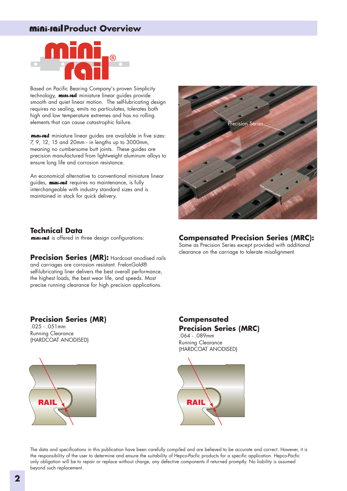## **Mini-rail Product Overview**



Based on Pacific Bearing Company's proven Simplicity technology, mini-rail miniature linear guides provide smooth and quiet linear motion. The self-lubricating design requires no sealing, emits no particulates, tolerates both high and low temperature extremes and has no rolling elements that can cause catastrophic failure.

mini-rail miniature linear guides are available in five sizes: 7, 9, 12, 15 and 20mm - in lengths up to 3000mm, meaning no cumbersome butt joints. These guides are precision manufactured from lightweight aluminum alloys to ensure long life and corrosion resistance.

An economical alternative to conventional miniature linear quides, **mini-rail** requires no maintenance, is fully interchangeable with industry standard sizes and is maintained in stock for quick delivery.



#### **Technical Data**

mini-rail is offered in three design configurations:

**Precision Series (MR): Hardcoat anodised rails** and carriages are corrosion resistant. FrelonGold® self-lubricating liner delivers the best overall performance, the highest loads, the best wear life, and speeds. Most precise running clearance for high precision applications.

### **Compensated Precision Series (MRC):**

Same as Precision Series except provided with additional clearance on the carriage to tolerate misalignment.

#### **Precision Series (MR)**

.025 - .051mm Running Clearance (HARDCOAT ANODISED)



**Compensated Precision Series (MRC)** .064 - .089mm

Running Clearance (HARDCOAT ANODISED)



The data and specifications in this publication have been carefully compiled and are believed to be accurate and correct. However, it is the responsibility of the user to determine and ensure the suitability of Hepco-Pacfic products for a specific application. Hepco-Pacfic only obligation will be to repair or replace without charge, any defective components if returned promptly. No liability is assumed beyond such replacement.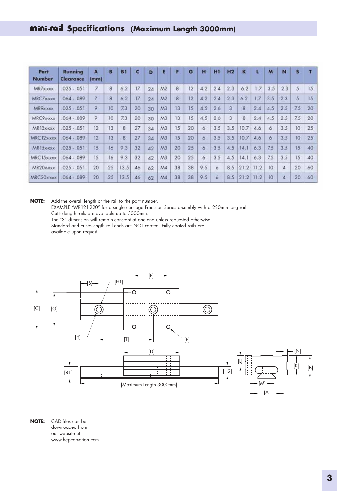| Part<br><b>Number</b> | Running<br>Clearance | A<br>(mm) | B  | <b>B1</b> | c  | D  | E              | F  | G               | H   | m   | H <sub>2</sub> | к    |      | M   | N   | S   |    |
|-----------------------|----------------------|-----------|----|-----------|----|----|----------------|----|-----------------|-----|-----|----------------|------|------|-----|-----|-----|----|
| MR7x-xxx              | $.025-.051$          | 7         | 8  | 6.2       | 17 | 24 | M <sub>2</sub> | 8  | 12              | 4.2 | 2.4 | 2.3            | 6.2  | 1.7  | 3.5 | 2.3 | 5   | 15 |
| MRC7x-xxx             | $064 - 089$          | 7         | 8  | 6.2       | 17 | 24 | M <sub>2</sub> | 8  | $ 2\rangle$     | 4.2 | 2.4 | 2.3            | 6.2  | 1.7  | 3.5 | 2.3 | 5   | 15 |
| MR9x-xxx              | $.025-.051$          | 9         | 10 | 7.3       | 20 | 30 | M <sub>3</sub> | 13 | 15              | 4.5 | 2.6 | 3              | 8    | 2.4  | 4.5 | 2.5 | 7.5 | 20 |
| MRC9x-xxx             | $.064-.089$          | 9         | 10 | 7.3       | 20 | 30 | M <sub>3</sub> | 13 | $\overline{15}$ | 4.5 | 2.6 | 3              | 8    | 2.4  | 4.5 | 2.5 | 7.5 | 20 |
| MR12x-xxx             | $.025-.051$          | 12        | 13 | 8         | 27 | 34 | M <sub>3</sub> | 15 | 20              | 6   | 3.5 | 3.5            | 10.7 | 4.6  | 6   | 3.5 | 10  | 25 |
| MRC12x-xxx            | $064 - 089$          | 12        | 13 | 8         | 27 | 34 | M <sub>3</sub> | 15 | 20              | 6   | 3.5 | 3.5            | 10.7 | 4.6  | 6   | 3.5 | 10  | 25 |
| MR15x-xxx             | $.025-.051$          | 15        | 16 | 9.3       | 32 | 42 | M <sub>3</sub> | 20 | 25              | 6   | 3.5 | 4.5            | 14.1 | 6.3  | 7.5 | 3.5 | 15  | 40 |
| MRC15x-xxx            | $064 - 089$          | 15        | 16 | 9.3       | 32 | 42 | M <sub>3</sub> | 20 | 25              | 6   | 3.5 | 4.5            | 14.1 | 6.3  | 7.5 | 3.5 | 15  | 40 |
| MR20x-xxx             | $.025-.051$          | 20        | 25 | 13.5      | 46 | 62 | M4             | 38 | 38              | 9.5 | 6   | 8.5            | 21.2 | 11.2 | 10  | 4   | 20  | 60 |
| MRC20xxxx             | $064 - 089$          | 20        | 25 | 13.5      | 46 | 62 | M4             | 38 | 38              | 9.5 | 6   | 8.5            | 21.2 | 11.2 | 10  | 4   | 20  | 60 |

**NOTE:** Add the overall length of the rail to the part number,

EXAMPLE "MR121-220" for a single carriage Precision Series assembly with a 220mm long rail. Cut-to-length rails are available up to 3000mm.

The "S" dimension will remain constant at one end unless requested otherwise.

Standard and cut-to-length rail ends are NOT coated. Fully coated rails are available upon request.



**NOTE:** CAD files can be downloaded from our website at www.hepcomotion.com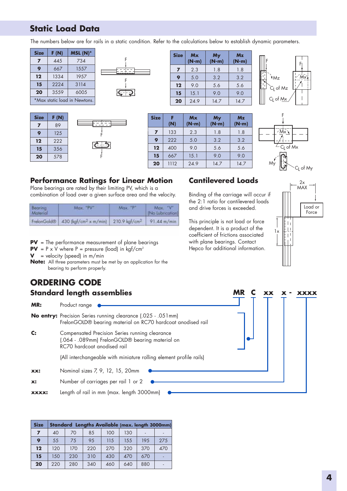# **Static Load Data**

The numbers below are for rails in a static condition. Refer to the calculations below to establish dynamic parameters.

| <b>Size</b>                  | F (N) | $MSL(N)^*$ |  |  |  |  |
|------------------------------|-------|------------|--|--|--|--|
| 7                            | 445   | 734        |  |  |  |  |
| 9                            | 667   | 1557       |  |  |  |  |
| 12                           | 1334  | 1957       |  |  |  |  |
| 15                           | 2224  | 3114       |  |  |  |  |
| 20                           | 3559  | 6005       |  |  |  |  |
| *Max static load in Newtons. |       |            |  |  |  |  |





F

F

| <b>Size</b> | Mx<br>(N-m) | <b>My</b><br>$(N-m)$ | Mz<br>$(N-m)$ |  |  |
|-------------|-------------|----------------------|---------------|--|--|
| 7           | 2.3         | 1.8                  | 1.8           |  |  |
| 9           | 5.0         | 3.2                  | 3.2           |  |  |
| 12          | 9.0         | 5.6                  | 5.6           |  |  |
| 15          | 15.1        | 9.0                  | 90            |  |  |
| 20          | 24.9        | 14.7                 | 14.7          |  |  |







#### **Performance Ratings for Linear Motion**

Plane bearings are rated by their limiting PV, which is a combination of load over a given surface area and the velocity.

| Bearing<br>Material | Max. "PV"                                     | Max. "P"                              | Max. "V"<br>  [No Lubrication] |  |  |
|---------------------|-----------------------------------------------|---------------------------------------|--------------------------------|--|--|
|                     | FrelonGold® 430 (kgf/cm <sup>2</sup> x m/min) | 210.9 kgf/cm <sup>2</sup> 91.44 m/min |                                |  |  |

**PV** = The performance measurement of plane bearings

**PV** =  $P \times V$  where  $P =$  pressure (load) in kgf/cm<sup>2</sup>

 $V =$  velocity (speed) in  $m/min$ 

**Note:** All three parameters must be met by an application for the bearing to perform properly.

# **ORDERING CODE**

#### **Standard length assemblies**

**MR:** Product range

**No entry:** Precision Series running clearance (.025 - .051mm) FrelonGOLD® bearing material on RC70 hardcoat anodised rail

**C:** Compensated Precision Series running clearance (.064 - .089mm) FrelonGOLD® bearing material on RC70 hardcoat anodised rail

(All interchangeable with miniature rolling element profile rails)

**xx:** Nominal sizes 7, 9, 12, 15, 20mm

**x:** Number of carriages per rail 1 or 2

**xxxx:** Length of rail in mm (max. length 3000mm)

| <b>Size</b>       |     |     | Standard Lengths Available (max. length 3000mm) |     |     |     |     |
|-------------------|-----|-----|-------------------------------------------------|-----|-----|-----|-----|
| 7                 | 40  | 70  | 85                                              | 100 | 130 |     |     |
| 9                 | 55  | 75  | 95                                              | 115 | 155 | 195 | 275 |
| $12 \overline{ }$ | 120 | 170 | 220                                             | 270 | 320 | 370 | 470 |
| 15                | 150 | 230 | 310                                             | 430 | 470 | 670 |     |
| 20                | 220 | 280 | 340                                             | 460 | 640 | 880 |     |

## **Cantilevered Loads**

Binding of the carriage will occur if the 2:1 ratio for cantilevered loads and drive forces is exceeded.

This principle is not load or force dependent. It is a product of the coefficient of frictions associated with plane bearings. Contact Hepco for additional information.



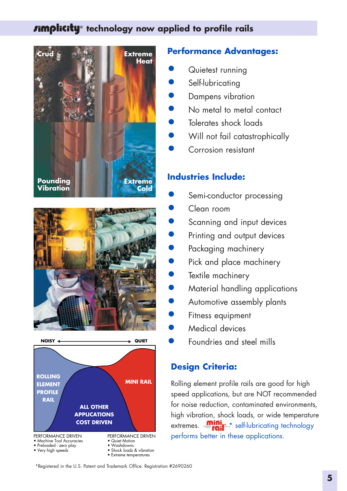# *timplicity* technology now applied to profile rails







## **Performance Advantages:**

- Quietest running
- Self-lubricating
- Dampens vibration
- No metal to metal contact
- Tolerates shock loads
- Will not fail catastrophically
- Corrosion resistant

## **Industries Include:**

- Semi-conductor processing
- Clean room
- Scanning and input devices
- Printing and output devices
- Packaging machinery
- Pick and place machinery
- Textile machinery
- Material handling applications
- Automotive assembly plants
- Fitness equipment
- Medical devices
- Foundries and steel mills

#### **Design Criteria:**

Rolling element profile rails are good for high speed applications, but are NOT recommended for noise reduction, contaminated environments, high vibration, shock loads, or wide temperature extremes.  $\frac{min_{s}}{s}$  self-lubricating technology performs better in these applications.

\*Registered in the U.S. Patent and Trademark Office. Registration #2690260